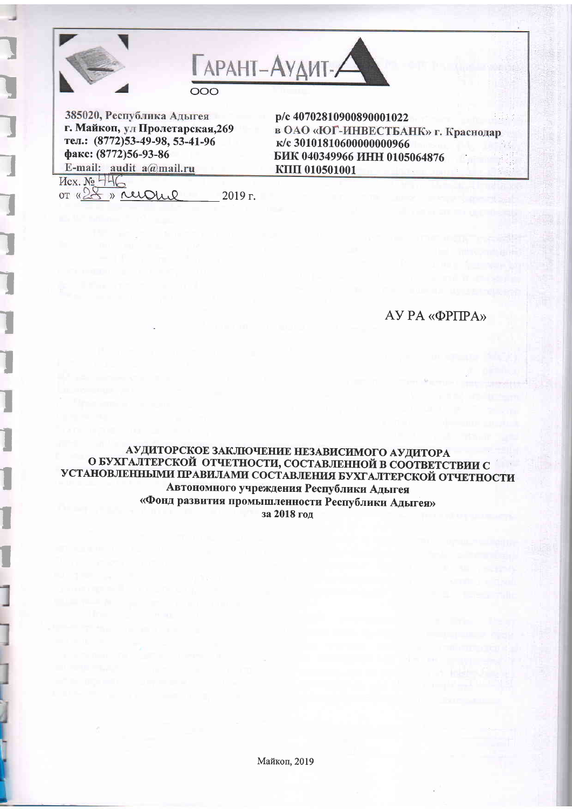

385020, Республика Адыгея г. Майкоп, ул Пролетарская, 269 тел.: (8772)53-49-98, 53-41-96 факс: (8772)56-93-86 E-mail: audit a@mail.ru

p/c 40702810900890001022 в ОАО «ЮГ-ИНВЕСТБАНК» г. Краснодар к/с 30101810600000000966 БИК 040349966 ИНН 0105064876 **KIIII** 010501001

 $Mex. N<sub>2</sub> 446$ OT «28 » reigne

 $2019$  r.

# АУ РА «ФРПРА»

## АУДИТОРСКОЕ ЗАКЛЮЧЕНИЕ НЕЗАВИСИМОГО АУДИТОРА О БУХГАЛТЕРСКОЙ ОТЧЕТНОСТИ, СОСТАВЛЕННОЙ В СООТВЕТСТВИИ С УСТАНОВЛЕННЫМИ ПРАВИЛАМИ СОСТАВЛЕНИЯ БУХГАЛТЕРСКОЙ ОТЧЕТНОСТИ Автономного учреждения Республики Адыгея «Фонд развития промышленности Республики Адыгея» за 2018 год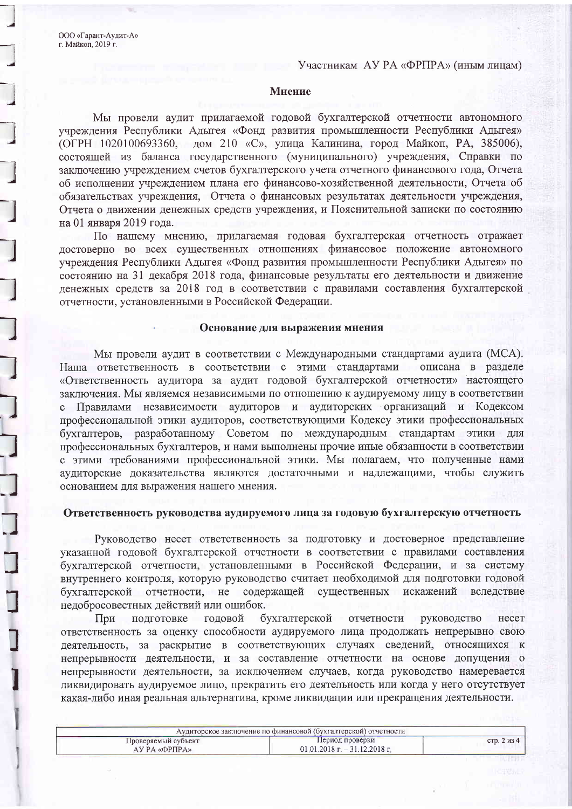ООО «Гарант-Аудит-А» г. Майкоп, 2019 г.

#### Участникам АУ РА «ФРПРА» (иным лицам)

#### Мнение

Мы провели аудит прилагаемой годовой бухгалтерской отчетности автономного учреждения Республики Адыгея «Фонд развития промышленности Республики Адыгея» (ОГРН 1020100693360, дом 210 «С», улица Калинина, город Майкоп, РА, 385006), состоящей из баланса государственного (муниципального) учреждения, Справки по заключению учреждением счетов бухгалтерского учета отчетного финансового года, Отчета об исполнении учреждением плана его финансово-хозяйственной деятельности, Отчета об обязательствах учреждения, Отчета о финансовых результатах деятельности учреждения, Отчета о движении денежных средств учреждения, и Пояснительной записки по состоянию на 01 января 2019 года.

По нашему мнению, прилагаемая годовая бухгалтерская отчетность отражает достоверно во всех существенных отношениях финансовое положение автономного учреждения Республики Адыгея «Фонд развития промышленности Республики Адыгея» по состоянию на 31 декабря 2018 года, финансовые результаты его деятельности и движение денежных средств за 2018 год в соответствии с правилами составления бухгалтерской отчетности, установленными в Российской Федерации.

#### Основание для выражения мнения

Мы провели аудит в соответствии с Международными стандартами аудита (МСА). Наша ответственность в соответствии с этими стандартами описана в разделе «Ответственность аудитора за аудит годовой бухгалтерской отчетности» настоящего заключения. Мы являемся независимыми по отношению к аудируемому лицу в соответствии с Правилами независимости аудиторов и аудиторских организаций и Кодексом профессиональной этики аудиторов, соответствующими Кодексу этики профессиональных бухгалтеров, разработанному Советом по международным стандартам этики для профессиональных бухгалтеров, и нами выполнены прочие иные обязанности в соответствии с этими требованиями профессиональной этики. Мы полагаем, что полученные нами аудиторские доказательства являются достаточными и надлежащими, чтобы служить основанием для выражения нашего мнения.

### Ответственность руководства аудируемого лица за годовую бухгалтерскую отчетность

Руководство несет ответственность за подготовку и достоверное представление указанной годовой бухгалтерской отчетности в соответствии с правилами составления бухгалтерской отчетности, установленными в Российской Федерации, и за систему внутреннего контроля, которую руководство считает необходимой для подготовки годовой бухгалтерской отчетности, не содержащей существенных искажений вследствие недобросовестных действий или ошибок.

бухгалтерской отчетности При подготовке годовой руководство несет ответственность за оценку способности аудируемого лица продолжать непрерывно свою деятельность, за раскрытие в соответствующих случаях сведений, относящихся к непрерывности деятельности, и за составление отчетности на основе допущения о непрерывности деятельности, за исключением случаев, когда руководство намеревается ликвидировать аудируемое лицо, прекратить его деятельность или когда у него отсутствует какая-либо иная реальная альтернатива, кроме ликвидации или прекращения деятельности.

| Аудиторское заключение по финансовой (бухгалтерской) отчетности |                                  |           |  |
|-----------------------------------------------------------------|----------------------------------|-----------|--|
| Проверяемый субъект                                             | Период проверки                  | стр. 2 из |  |
| АУ РА «ФРПРА»                                                   | $01.01.2018$ r. $-31.12.2018$ r. |           |  |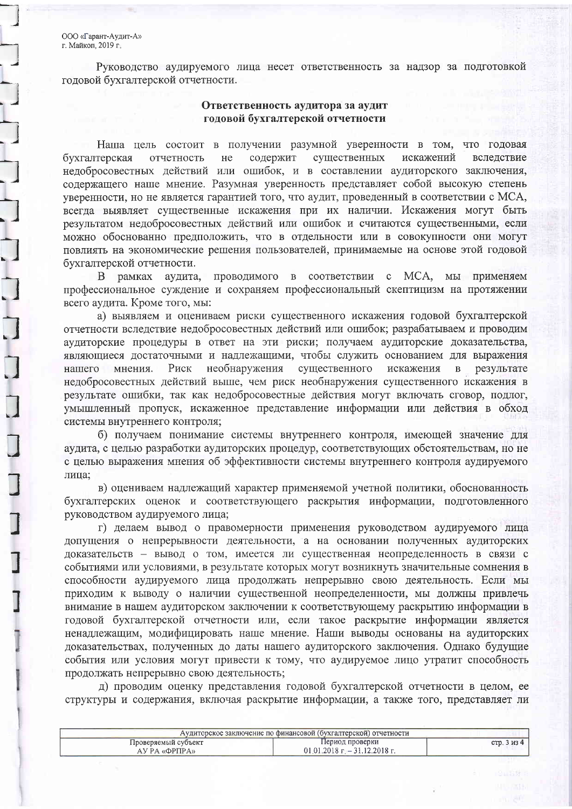ООО «Гарант-Аудит-А» г. Майкоп, 2019 г.

Руководство аудируемого лица несет ответственность за надзор за подготовкой годовой бухгалтерской отчетности.

### Ответственность аудитора за аудит годовой бухгалтерской отчетности

Наша цель состоит в получении разумной уверенности в том, что годовая содержит существенных искажений бухгалтерская отчетность нe вследствие недобросовестных действий или ошибок, и в составлении аудиторского заключения, содержащего наше мнение. Разумная уверенность представляет собой высокую степень уверенности, но не является гарантией того, что аудит, проведенный в соответствии с МСА, всегда выявляет существенные искажения при их наличии. Искажения могут быть результатом недобросовестных действий или ошибок и считаются существенными, если можно обоснованно предположить, что в отдельности или в совокупности они могут повлиять на экономические решения пользователей, принимаемые на основе этой годовой бухгалтерской отчетности.

В рамках аудита, проводимого в соответствии с МСА, мы применяем профессиональное суждение и сохраняем профессиональный скептицизм на протяжении всего аудита. Кроме того, мы:

а) выявляем и оцениваем риски существенного искажения годовой бухгалтерской отчетности вследствие недобросовестных действий или ошибок; разрабатываем и проводим аудиторские процедуры в ответ на эти риски; получаем аудиторские доказательства, являющиеся достаточными и надлежащими, чтобы служить основанием для выражения необнаружения существенного Риск искажения  $\mathbf{B}$ нашего мнения. результате недобросовестных действий выше, чем риск необнаружения существенного искажения в результате ошибки, так как недобросовестные действия могут включать сговор, подлог, умышленный пропуск, искаженное представление информации или действия в обход системы внутреннего контроля;

б) получаем понимание системы внутреннего контроля, имеющей значение для аудита, с целью разработки аудиторских процедур, соответствующих обстоятельствам, но не с целью выражения мнения об эффективности системы внутреннего контроля аудируемого лица;

в) оцениваем надлежащий характер применяемой учетной политики, обоснованность бухгалтерских оценок и соответствующего раскрытия информации, подготовленного руководством аудируемого лица;

г) делаем вывод о правомерности применения руководством аудируемого лица допущения о непрерывности деятельности, а на основании полученных аудиторских доказательств - вывод о том, имеется ли существенная неопределенность в связи с событиями или условиями, в результате которых могут возникнуть значительные сомнения в способности аудируемого лица продолжать непрерывно свою деятельность. Если мы приходим к выводу о наличии существенной неопределенности, мы должны привлечь внимание в нашем аудиторском заключении к соответствующему раскрытию информации в годовой бухгалтерской отчетности или, если такое раскрытие информации является ненадлежащим, модифицировать наше мнение. Наши выводы основаны на аудиторских доказательствах, полученных до даты нашего аудиторского заключения. Однако будущие события или условия могут привести к тому, что аудируемое лицо утратит способность продолжать непрерывно свою деятельность;

д) проводим оценку представления годовой бухгалтерской отчетности в целом, ее структуры и содержания, включая раскрытие информации, а также того, представляет ли

| Аудиторское заключение по финансовой (бухгалтерской) отчетности |                              |           |
|-----------------------------------------------------------------|------------------------------|-----------|
| Проверяемый субъект                                             | Период проверки              | стр. 3 из |
| AУ РА «ФРПРА»                                                   | $01.01.2018 - 31.12.2018$ r. |           |